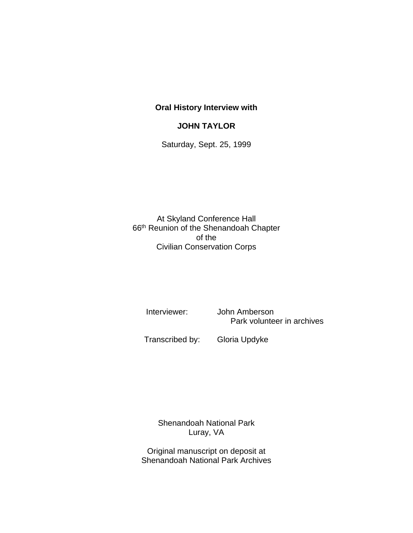## **Oral History Interview with**

## **JOHN TAYLOR**

Saturday, Sept. 25, 1999

At Skyland Conference Hall 66th Reunion of the Shenandoah Chapter of the Civilian Conservation Corps

 Interviewer: John Amberson Park volunteer in archives

Transcribed by: Gloria Updyke

Shenandoah National Park Luray, VA

Original manuscript on deposit at Shenandoah National Park Archives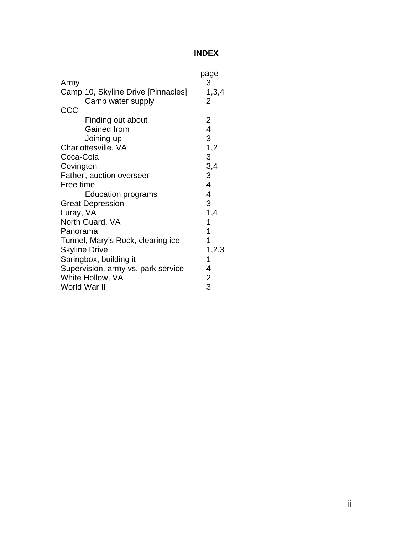## **INDEX**

| Army                               | page<br>3                 |
|------------------------------------|---------------------------|
| Camp 10, Skyline Drive [Pinnacles] | 1,3,4                     |
| Camp water supply                  | 2                         |
| CCC                                |                           |
| Finding out about                  | 2                         |
| Gained from                        | 4                         |
| Joining up                         | 3                         |
| Charlottesville, VA                | 1,2                       |
| Coca-Cola                          | $\ensuremath{\mathsf{3}}$ |
| Covington                          | 3,4                       |
| Father, auction overseer           | 3                         |
| Free time                          | 4                         |
| <b>Education programs</b>          | 4                         |
| <b>Great Depression</b>            | 3                         |
| Luray, VA                          | 1,4                       |
| North Guard, VA                    | 1                         |
| Panorama                           | 1                         |
| Tunnel, Mary's Rock, clearing ice  | 1                         |
| <b>Skyline Drive</b>               | 1,2,3                     |
| Springbox, building it             | 1                         |
| Supervision, army vs. park service | 4                         |
| White Hollow, VA                   | 2                         |
| World War II                       | 3                         |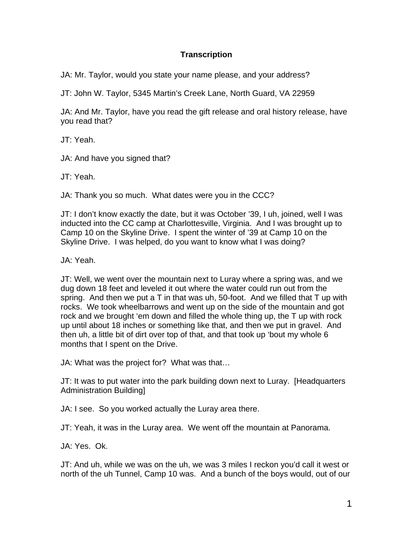## **Transcription**

JA: Mr. Taylor, would you state your name please, and your address?

JT: John W. Taylor, 5345 Martin's Creek Lane, North Guard, VA 22959

JA: And Mr. Taylor, have you read the gift release and oral history release, have you read that?

JT: Yeah.

JA: And have you signed that?

JT: Yeah.

JA: Thank you so much. What dates were you in the CCC?

JT: I don't know exactly the date, but it was October '39, I uh, joined, well I was inducted into the CC camp at Charlottesville, Virginia. And I was brought up to Camp 10 on the Skyline Drive. I spent the winter of '39 at Camp 10 on the Skyline Drive. I was helped, do you want to know what I was doing?

JA: Yeah.

JT: Well, we went over the mountain next to Luray where a spring was, and we dug down 18 feet and leveled it out where the water could run out from the spring. And then we put a T in that was uh, 50-foot. And we filled that T up with rocks. We took wheelbarrows and went up on the side of the mountain and got rock and we brought 'em down and filled the whole thing up, the T up with rock up until about 18 inches or something like that, and then we put in gravel. And then uh, a little bit of dirt over top of that, and that took up 'bout my whole 6 months that I spent on the Drive.

JA: What was the project for? What was that…

JT: It was to put water into the park building down next to Luray. [Headquarters Administration Building]

JA: I see. So you worked actually the Luray area there.

JT: Yeah, it was in the Luray area. We went off the mountain at Panorama.

JA: Yes. Ok.

JT: And uh, while we was on the uh, we was 3 miles I reckon you'd call it west or north of the uh Tunnel, Camp 10 was. And a bunch of the boys would, out of our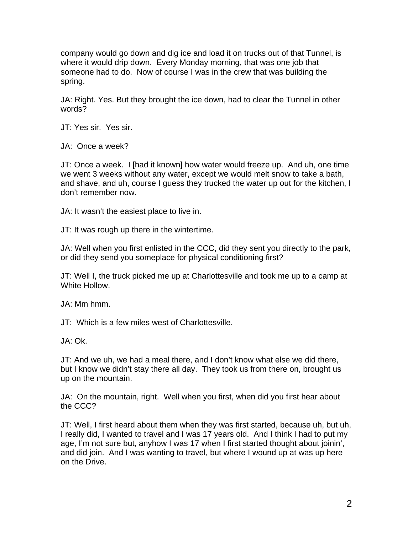company would go down and dig ice and load it on trucks out of that Tunnel, is where it would drip down. Every Monday morning, that was one job that someone had to do. Now of course I was in the crew that was building the spring.

JA: Right. Yes. But they brought the ice down, had to clear the Tunnel in other words?

JT: Yes sir. Yes sir.

JA: Once a week?

JT: Once a week. I [had it known] how water would freeze up. And uh, one time we went 3 weeks without any water, except we would melt snow to take a bath, and shave, and uh, course I guess they trucked the water up out for the kitchen, I don't remember now.

JA: It wasn't the easiest place to live in.

JT: It was rough up there in the wintertime.

JA: Well when you first enlisted in the CCC, did they sent you directly to the park, or did they send you someplace for physical conditioning first?

JT: Well I, the truck picked me up at Charlottesville and took me up to a camp at White Hollow.

JA: Mm hmm.

JT: Which is a few miles west of Charlottesville.

JA: Ok.

JT: And we uh, we had a meal there, and I don't know what else we did there, but I know we didn't stay there all day. They took us from there on, brought us up on the mountain.

JA: On the mountain, right. Well when you first, when did you first hear about the CCC?

JT: Well, I first heard about them when they was first started, because uh, but uh, I really did, I wanted to travel and I was 17 years old. And I think I had to put my age, I'm not sure but, anyhow I was 17 when I first started thought about joinin', and did join. And I was wanting to travel, but where I wound up at was up here on the Drive.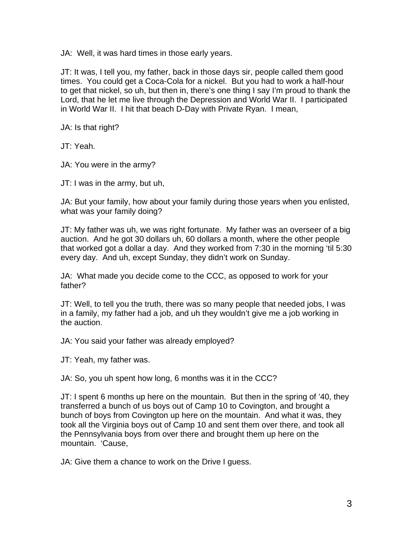JA: Well, it was hard times in those early years.

JT: It was, I tell you, my father, back in those days sir, people called them good times. You could get a Coca-Cola for a nickel. But you had to work a half-hour to get that nickel, so uh, but then in, there's one thing I say I'm proud to thank the Lord, that he let me live through the Depression and World War II. I participated in World War II. I hit that beach D-Day with Private Ryan. I mean,

JA: Is that right?

JT: Yeah.

JA: You were in the army?

JT: I was in the army, but uh,

JA: But your family, how about your family during those years when you enlisted, what was your family doing?

JT: My father was uh, we was right fortunate. My father was an overseer of a big auction. And he got 30 dollars uh, 60 dollars a month, where the other people that worked got a dollar a day. And they worked from 7:30 in the morning 'til 5:30 every day. And uh, except Sunday, they didn't work on Sunday.

JA: What made you decide come to the CCC, as opposed to work for your father?

JT: Well, to tell you the truth, there was so many people that needed jobs, I was in a family, my father had a job, and uh they wouldn't give me a job working in the auction.

JA: You said your father was already employed?

JT: Yeah, my father was.

JA: So, you uh spent how long, 6 months was it in the CCC?

JT: I spent 6 months up here on the mountain. But then in the spring of '40, they transferred a bunch of us boys out of Camp 10 to Covington, and brought a bunch of boys from Covington up here on the mountain. And what it was, they took all the Virginia boys out of Camp 10 and sent them over there, and took all the Pennsylvania boys from over there and brought them up here on the mountain. 'Cause,

JA: Give them a chance to work on the Drive I guess.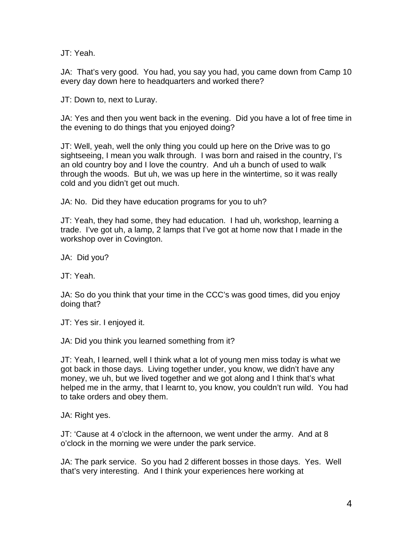JT: Yeah.

JA: That's very good. You had, you say you had, you came down from Camp 10 every day down here to headquarters and worked there?

JT: Down to, next to Luray.

JA: Yes and then you went back in the evening. Did you have a lot of free time in the evening to do things that you enjoyed doing?

JT: Well, yeah, well the only thing you could up here on the Drive was to go sightseeing, I mean you walk through. I was born and raised in the country, I's an old country boy and I love the country. And uh a bunch of used to walk through the woods. But uh, we was up here in the wintertime, so it was really cold and you didn't get out much.

JA: No. Did they have education programs for you to uh?

JT: Yeah, they had some, they had education. I had uh, workshop, learning a trade. I've got uh, a lamp, 2 lamps that I've got at home now that I made in the workshop over in Covington.

JA: Did you?

JT: Yeah.

JA: So do you think that your time in the CCC's was good times, did you enjoy doing that?

JT: Yes sir. I enjoyed it.

JA: Did you think you learned something from it?

JT: Yeah, I learned, well I think what a lot of young men miss today is what we got back in those days. Living together under, you know, we didn't have any money, we uh, but we lived together and we got along and I think that's what helped me in the army, that I learnt to, you know, you couldn't run wild. You had to take orders and obey them.

JA: Right yes.

JT: 'Cause at 4 o'clock in the afternoon, we went under the army. And at 8 o'clock in the morning we were under the park service.

JA: The park service. So you had 2 different bosses in those days. Yes. Well that's very interesting. And I think your experiences here working at